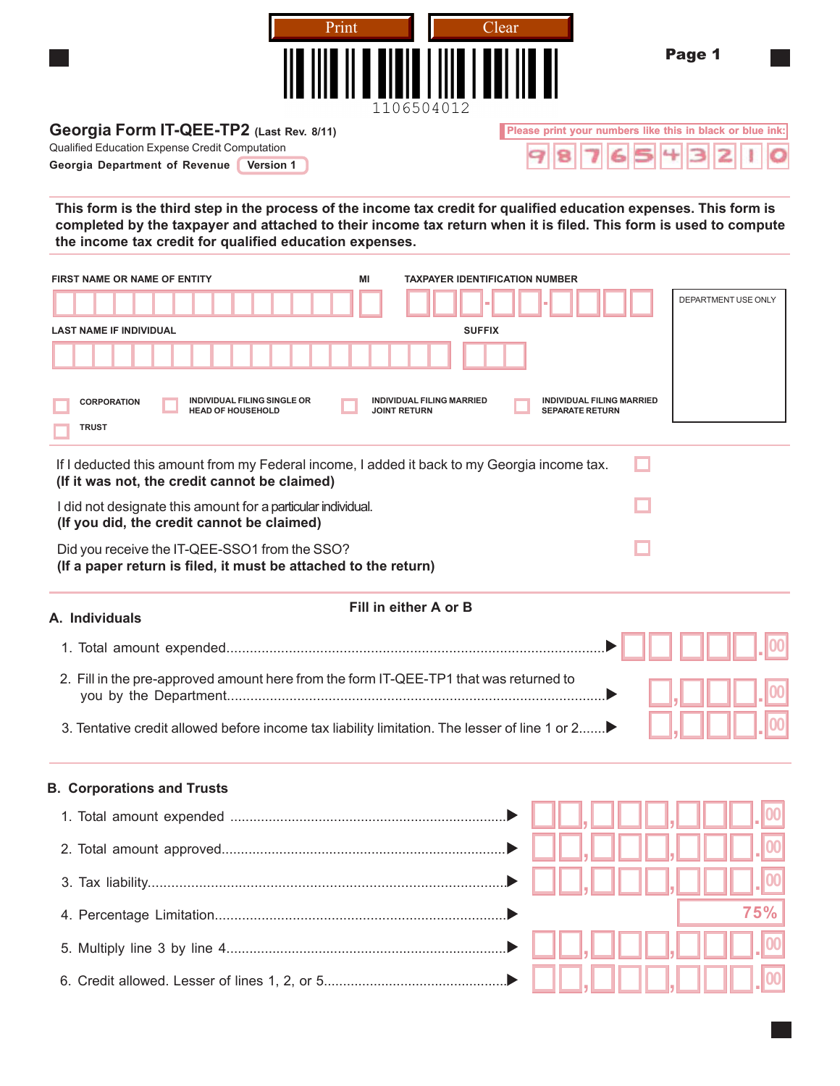| Print                                                                                                                                                                                                                                                                                                    | Clear                                                      | Page 1                                                    |
|----------------------------------------------------------------------------------------------------------------------------------------------------------------------------------------------------------------------------------------------------------------------------------------------------------|------------------------------------------------------------|-----------------------------------------------------------|
| 1106504012<br>Georgia Form IT-QEE-TP2 (Last Rev. 8/11)<br>Qualified Education Expense Credit Computation<br>Georgia Department of Revenue<br><b>Version 1</b>                                                                                                                                            |                                                            | Please print your numbers like this in black or blue ink: |
| This form is the third step in the process of the income tax credit for qualified education expenses. This form is<br>completed by the taxpayer and attached to their income tax return when it is filed. This form is used to compute<br>the income tax credit for qualified education expenses.        |                                                            |                                                           |
| MI<br><b>FIRST NAME OR NAME OF ENTITY</b>                                                                                                                                                                                                                                                                | <b>TAXPAYER IDENTIFICATION NUMBER</b>                      | DEPARTMENT USE ONLY                                       |
| <b>LAST NAME IF INDIVIDUAL</b>                                                                                                                                                                                                                                                                           | <b>SUFFIX</b>                                              |                                                           |
| INDIVIDUAL FILING SINGLE OR<br><b>INDIVIDUAL FILING MARRIED</b><br><b>CORPORATION</b><br><b>HEAD OF HOUSEHOLD</b><br><b>JOINT RETURN</b><br><b>TRUST</b><br>If I deducted this amount from my Federal income, I added it back to my Georgia income tax.<br>(If it was not, the credit cannot be claimed) | <b>INDIVIDUAL FILING MARRIED</b><br><b>SEPARATE RETURN</b> |                                                           |
| I did not designate this amount for a particular individual.<br>(If you did, the credit cannot be claimed)                                                                                                                                                                                               |                                                            |                                                           |
| Did you receive the IT-QEE-SSO1 from the SSO?<br>(If a paper return is filed, it must be attached to the return)                                                                                                                                                                                         |                                                            |                                                           |
| Fill in either A or B<br>A. Individuals                                                                                                                                                                                                                                                                  |                                                            |                                                           |
|                                                                                                                                                                                                                                                                                                          |                                                            |                                                           |
|                                                                                                                                                                                                                                                                                                          |                                                            |                                                           |
| 2. Fill in the pre-approved amount here from the form IT-QEE-TP1 that was returned to                                                                                                                                                                                                                    |                                                            |                                                           |
| 3. Tentative credit allowed before income tax liability limitation. The lesser of line 1 or 2▶                                                                                                                                                                                                           |                                                            |                                                           |
| <b>B. Corporations and Trusts</b>                                                                                                                                                                                                                                                                        |                                                            |                                                           |
|                                                                                                                                                                                                                                                                                                          |                                                            |                                                           |
|                                                                                                                                                                                                                                                                                                          |                                                            |                                                           |